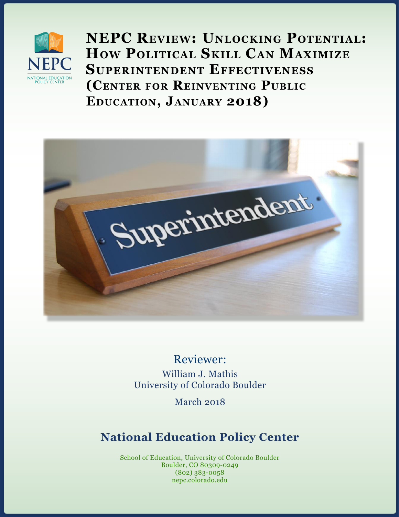

**NEPC Review: Unlocking Potential: How Political Skill Can Maximize Superintendent Effectiveness (Center for Reinventing Public Education, January 2018)** 



Reviewer:

William J. Mathis University of Colorado Boulder

March 2018

# **National Education Policy Center**

School of Education, University of Colorado Boulder Boulder, CO 80309-0249 (802) 383-0058 nepc.colorado.edu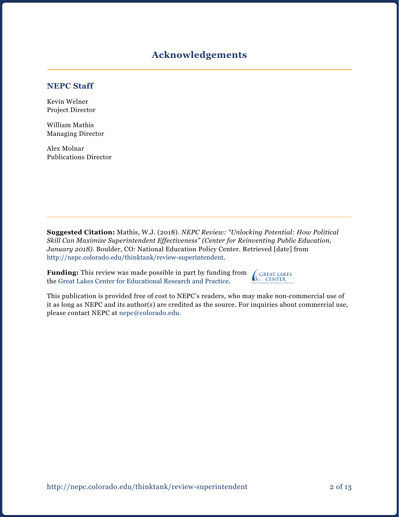### **Acknowledgements**

#### **NEPC Staff**

Kevin Welner Project Director

William Mathis Managing Director

Alex Molnar Publications Director

**Suggested Citation:** Mathis, W.J. (2018). *NEPC Review: "Unlocking Potential: How Political Skill Can Maximize Superintendent Effectiveness" (Center for Reinventing Public Education, January 2018).* Boulder, CO: National Education Policy Center. Retrieved [date] from [http://nepc.colorado.edu/thinktank/review-](http://nepc.colorado.edu/thinktank/review-superintendent)superintendent.

**Funding:** This review was made possible in part by funding from the [Great Lakes Center for Educational Research and Practice](http://www.greatlakescenter.org).

**GREAT LAKES CENTER** For Education Research & Practice

This publication is provided free of cost to NEPC's readers, who may make non-commercial use of it as long as NEPC and its author(s) are credited as the source. For inquiries about commercial use, please contact NEPC at [nepc@colorado.edu](mailto:nepc@colorado.edu.).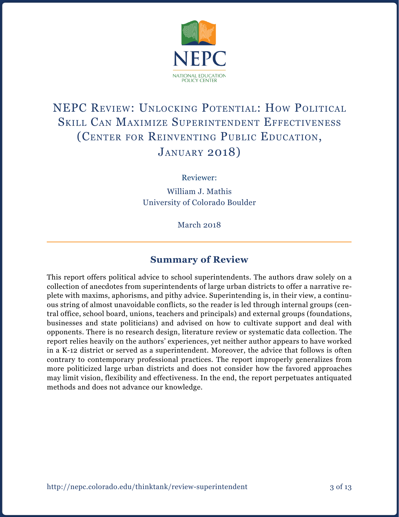

# NEPC Review: Unlocking Potential: How Political Skill Can Maximize Superintendent Effectiveness (Center for Reinventing Public Education, January 2018)

Reviewer:

William J. Mathis University of Colorado Boulder

March 2018

# **Summary of Review**

This report offers political advice to school superintendents. The authors draw solely on a collection of anecdotes from superintendents of large urban districts to offer a narrative replete with maxims, aphorisms, and pithy advice. Superintending is, in their view, a continuous string of almost unavoidable conflicts, so the reader is led through internal groups (central office, school board, unions, teachers and principals) and external groups (foundations, businesses and state politicians) and advised on how to cultivate support and deal with opponents. There is no research design, literature review or systematic data collection. The report relies heavily on the authors' experiences, yet neither author appears to have worked in a K-12 district or served as a superintendent. Moreover, the advice that follows is often contrary to contemporary professional practices. The report improperly generalizes from more politicized large urban districts and does not consider how the favored approaches may limit vision, flexibility and effectiveness. In the end, the report perpetuates antiquated methods and does not advance our knowledge.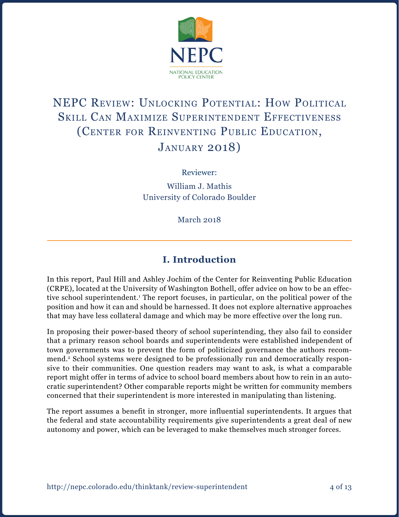

# NEPC Review: Unlocking Potential: How Political Skill Can Maximize Superintendent Effectiveness (Center for Reinventing Public Education, January 2018)

Reviewer:

William J. Mathis University of Colorado Boulder

March 2018

# **I. Introduction**

In this report, Paul Hill and Ashley Jochim of the Center for Reinventing Public Education (CRPE), located at the University of Washington Bothell, offer advice on how to be an effective school superintendent.<sup>1</sup> The report focuses, in particular, on the political power of the position and how it can and should be harnessed. It does not explore alternative approaches that may have less collateral damage and which may be more effective over the long run.

In proposing their power-based theory of school superintending, they also fail to consider that a primary reason school boards and superintendents were established independent of town governments was to prevent the form of politicized governance the authors recommend.2 School systems were designed to be professionally run and democratically responsive to their communities. One question readers may want to ask, is what a comparable report might offer in terms of advice to school board members about how to rein in an autocratic superintendent? Other comparable reports might be written for community members concerned that their superintendent is more interested in manipulating than listening.

The report assumes a benefit in stronger, more influential superintendents. It argues that the federal and state accountability requirements give superintendents a great deal of new autonomy and power, which can be leveraged to make themselves much stronger forces.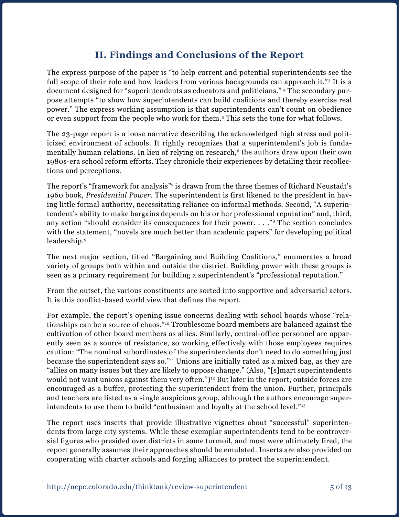# **II. Findings and Conclusions of the Report**

The express purpose of the paper is "to help current and potential superintendents see the full scope of their role and how leaders from various backgrounds can approach it."<sup>3</sup> It is a document designed for "superintendents as educators and politicians." 4 The secondary purpose attempts "to show how superintendents can build coalitions and thereby exercise real power." The express working assumption is that superintendents can't count on obedience or even support from the people who work for them.5 This sets the tone for what follows.

The 23-page report is a loose narrative describing the acknowledged high stress and politicized environment of schools. It rightly recognizes that a superintendent's job is fundamentally human relations. In lieu of relying on research,<sup>6</sup> the authors draw upon their own 1980s-era school reform efforts. They chronicle their experiences by detailing their recollections and perceptions.

The report's "framework for analysis"7 is drawn from the three themes of Richard Neustadt's 1960 book, *Presidential Power.* The superintendent is first likened to the president in having little formal authority, necessitating reliance on informal methods. Second, "A superintendent's ability to make bargains depends on his or her professional reputation" and, third, any action "should consider its consequences for their power. . . ."8 The section concludes with the statement, "novels are much better than academic papers" for developing political leadership.9

The next major section, titled "Bargaining and Building Coalitions," enumerates a broad variety of groups both within and outside the district. Building power with these groups is seen as a primary requirement for building a superintendent's "professional reputation."

From the outset, the various constituents are sorted into supportive and adversarial actors. It is this conflict-based world view that defines the report.

For example, the report's opening issue concerns dealing with school boards whose "relationships can be a source of chaos."10 Troublesome board members are balanced against the cultivation of other board members as allies. Similarly, central-office personnel are apparently seen as a source of resistance, so working effectively with those employees requires caution: "The nominal subordinates of the superintendents don't need to do something just because the superintendent says so."11 Unions are initially rated as a mixed bag, as they are "allies on many issues but they are likely to oppose change." (Also, "[s]mart superintendents would not want unions against them very often.")<sup>12</sup> But later in the report, outside forces are encouraged as a buffer, protecting the superintendent from the union. Further, principals and teachers are listed as a single suspicious group, although the authors encourage superintendents to use them to build "enthusiasm and loyalty at the school level."13

The report uses inserts that provide illustrative vignettes about "successful" superintendents from large city systems. While these exemplar superintendents tend to be controversial figures who presided over districts in some turmoil, and most were ultimately fired, the report generally assumes their approaches should be emulated. Inserts are also provided on cooperating with charter schools and forging alliances to protect the superintendent.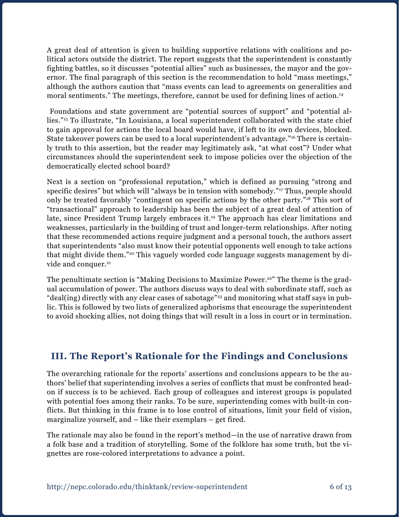A great deal of attention is given to building supportive relations with coalitions and political actors outside the district. The report suggests that the superintendent is constantly fighting battles, so it discusses "potential allies" such as businesses, the mayor and the governor. The final paragraph of this section is the recommendation to hold "mass meetings," although the authors caution that "mass events can lead to agreements on generalities and moral sentiments." The meetings, therefore, cannot be used for defining lines of action.<sup>14</sup>

 Foundations and state government are "potential sources of support" and "potential allies."15 To illustrate, "In Louisiana, a local superintendent collaborated with the state chief to gain approval for actions the local board would have, if left to its own devices, blocked. State takeover powers can be used to a local superintendent's advantage."16 There is certainly truth to this assertion, but the reader may legitimately ask, "at what cost"? Under what circumstances should the superintendent seek to impose policies over the objection of the democratically elected school board?

Next is a section on "professional reputation," which is defined as pursuing "strong and specific desires" but which will "always be in tension with somebody."17 Thus, people should only be treated favorably "contingent on specific actions by the other party."18 This sort of "transactional" approach to leadership has been the subject of a great deal of attention of late, since President Trump largely embraces it.<sup>19</sup> The approach has clear limitations and weaknesses, particularly in the building of trust and longer-term relationships. After noting that these recommended actions require judgment and a personal touch, the authors assert that superintendents "also must know their potential opponents well enough to take actions that might divide them."20 This vaguely worded code language suggests management by divide and conquer.<sup>21</sup>

The penultimate section is "Making Decisions to Maximize Power.<sup>22"</sup> The theme is the gradual accumulation of power. The authors discuss ways to deal with subordinate staff, such as "deal(ing) directly with any clear cases of sabotage"<sup>23</sup> and monitoring what staff says in public. This is followed by two lists of generalized aphorisms that encourage the superintendent to avoid shocking allies, not doing things that will result in a loss in court or in termination.

# **III. The Report's Rationale for the Findings and Conclusions**

The overarching rationale for the reports' assertions and conclusions appears to be the authors' belief that superintending involves a series of conflicts that must be confronted headon if success is to be achieved. Each group of colleagues and interest groups is populated with potential foes among their ranks. To be sure, superintending comes with built-in conflicts. But thinking in this frame is to lose control of situations, limit your field of vision, marginalize yourself, and – like their exemplars – get fired.

The rationale may also be found in the report's method—in the use of narrative drawn from a folk base and a tradition of storytelling. Some of the folklore has some truth, but the vignettes are rose-colored interpretations to advance a point.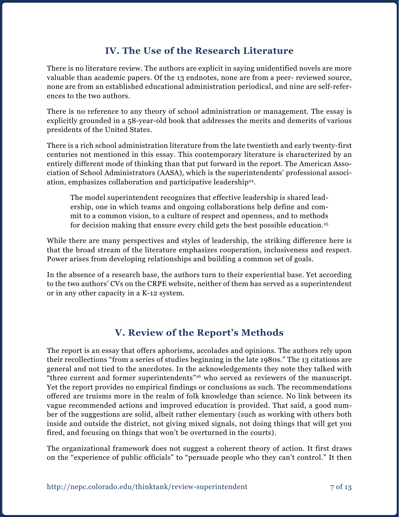### **IV. The Use of the Research Literature**

There is no literature review. The authors are explicit in saying unidentified novels are more valuable than academic papers. Of the 13 endnotes, none are from a peer- reviewed source, none are from an established educational administration periodical, and nine are self-references to the two authors.

There is no reference to any theory of school administration or management. The essay is explicitly grounded in a 58-year-old book that addresses the merits and demerits of various presidents of the United States.

There is a rich school administration literature from the late twentieth and early twenty-first centuries not mentioned in this essay. This contemporary literature is characterized by an entirely different mode of thinking than that put forward in the report. The American Association of School Administrators (AASA), which is the superintendents' professional association, emphasizes collaboration and participative leadership24.

The model superintendent recognizes that effective leadership is shared leadership, one in which teams and ongoing collaborations help define and commit to a common vision, to a culture of respect and openness, and to methods for decision making that ensure every child gets the best possible education.<sup>25</sup>

While there are many perspectives and styles of leadership, the striking difference here is that the broad stream of the literature emphasizes cooperation, inclusiveness and respect. Power arises from developing relationships and building a common set of goals.

In the absence of a research base, the authors turn to their experiential base. Yet according to the two authors' CVs on the CRPE website, neither of them has served as a superintendent or in any other capacity in a K-12 system.

# **V. Review of the Report's Methods**

The report is an essay that offers aphorisms, accolades and opinions. The authors rely upon their recollections "from a series of studies beginning in the late 1980s." The 13 citations are general and not tied to the anecdotes. In the acknowledgements they note they talked with "three current and former superintendents"26 who served as reviewers of the manuscript. Yet the report provides no empirical findings or conclusions as such. The recommendations offered are truisms more in the realm of folk knowledge than science. No link between its vague recommended actions and improved education is provided. That said, a good number of the suggestions are solid, albeit rather elementary (such as working with others both inside and outside the district, not giving mixed signals, not doing things that will get you fired, and focusing on things that won't be overturned in the courts).

The organizational framework does not suggest a coherent theory of action. It first draws on the "experience of public officials" to "persuade people who they can't control." It then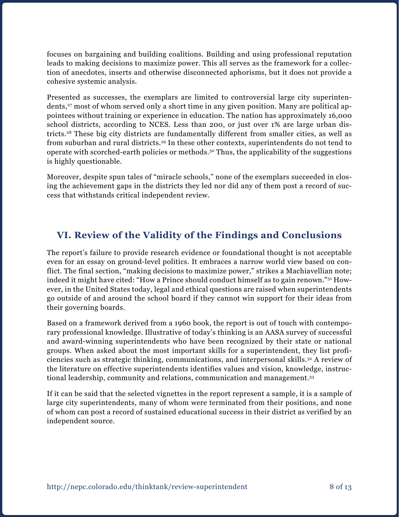focuses on bargaining and building coalitions. Building and using professional reputation leads to making decisions to maximize power. This all serves as the framework for a collection of anecdotes, inserts and otherwise disconnected aphorisms, but it does not provide a cohesive systemic analysis.

Presented as successes, the exemplars are limited to controversial large city superintendents,<sup>27</sup> most of whom served only a short time in any given position. Many are political appointees without training or experience in education. The nation has approximately 16,000 school districts, according to NCES. Less than 200, or just over 1% are large urban districts.28 These big city districts are fundamentally different from smaller cities, as well as from suburban and rural districts.<sup>29</sup> In these other contexts, superintendents do not tend to operate with scorched-earth policies or methods.30 Thus, the applicability of the suggestions is highly questionable.

Moreover, despite spun tales of "miracle schools," none of the exemplars succeeded in closing the achievement gaps in the districts they led nor did any of them post a record of success that withstands critical independent review.

### **VI. Review of the Validity of the Findings and Conclusions**

The report's failure to provide research evidence or foundational thought is not acceptable even for an essay on ground-level politics. It embraces a narrow world view based on conflict. The final section, "making decisions to maximize power," strikes a Machiavellian note; indeed it might have cited: "How a Prince should conduct himself as to gain renown."31 However, in the United States today, legal and ethical questions are raised when superintendents go outside of and around the school board if they cannot win support for their ideas from their governing boards.

Based on a framework derived from a 1960 book, the report is out of touch with contemporary professional knowledge. Illustrative of today's thinking is an AASA survey of successful and award-winning superintendents who have been recognized by their state or national groups. When asked about the most important skills for a superintendent, they list proficiencies such as strategic thinking, communications, and interpersonal skills.32 A review of the literature on effective superintendents identifies values and vision, knowledge, instructional leadership, community and relations, communication and management.33

If it can be said that the selected vignettes in the report represent a sample, it is a sample of large city superintendents, many of whom were terminated from their positions, and none of whom can post a record of sustained educational success in their district as verified by an independent source.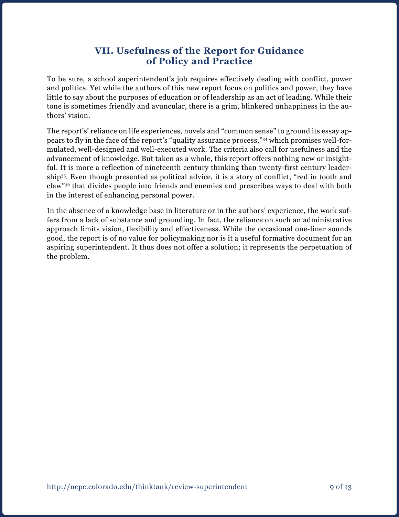### **VII. Usefulness of the Report for Guidance of Policy and Practice**

To be sure, a school superintendent's job requires effectively dealing with conflict, power and politics. Yet while the authors of this new report focus on politics and power, they have little to say about the purposes of education or of leadership as an act of leading. While their tone is sometimes friendly and avuncular, there is a grim, blinkered unhappiness in the authors' vision.

The report's' reliance on life experiences, novels and "common sense" to ground its essay appears to fly in the face of the report's "quality assurance process,"34 which promises well-formulated, well-designed and well-executed work. The criteria also call for usefulness and the advancement of knowledge. But taken as a whole, this report offers nothing new or insightful. It is more a reflection of nineteenth century thinking than twenty-first century leadership35. Even though presented as political advice, it is a story of conflict, "red in tooth and claw"36 that divides people into friends and enemies and prescribes ways to deal with both in the interest of enhancing personal power.

In the absence of a knowledge base in literature or in the authors' experience, the work suffers from a lack of substance and grounding. In fact, the reliance on such an administrative approach limits vision, flexibility and effectiveness. While the occasional one-liner sounds good, the report is of no value for policymaking nor is it a useful formative document for an aspiring superintendent. It thus does not offer a solution; it represents the perpetuation of the problem.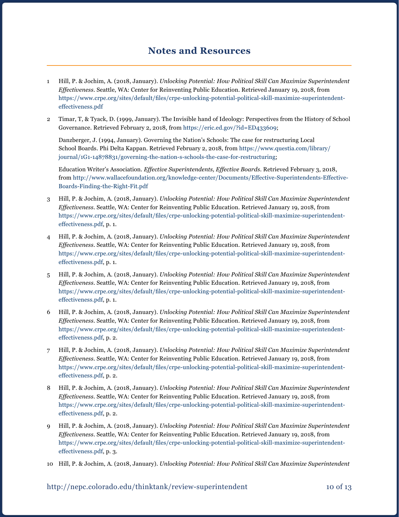### **Notes and Resources**

- 1 Hill, P. & Jochim, A. (2018, January). *Unlocking Potential: How Political Skill Can Maximize Superintendent Effectiveness*. Seattle, WA: Center for Reinventing Public Education. Retrieved January 19, 2018, from [https://www.crpe.org/sites/default/files/crpe-unlocking-potential-political-skill-maximize-superintendent](https://www.crpe.org/sites/default/files/crpe-unlocking-potential-political-skill-maximize-superintendent-effectiveness.pdf)[effectiveness.pdf](https://www.crpe.org/sites/default/files/crpe-unlocking-potential-political-skill-maximize-superintendent-effectiveness.pdf)
- 2 Timar, T, & Tyack, D. (1999, January). The Invisible hand of Ideology: Perspectives from the History of School Governance. Retrieved February 2, 2018, from [https://eric.ed.gov/?id=ED433609;](https://eric.ed.gov/?id=ED433609)

Danzberger, J. (1994, January). Governing the Nation's Schools: The case for restructuring Local School Boards. Phi Delta Kappan. Retrieved February 2, 2018, from [https://www.questia.com/library/](https://www.questia.com/library/journal/1G1-14878831/governing-the-nation-s-schools-the-case-for-restructuring) [journal/1G1-14878831/governing-the-nation-s-schools-the-case-for-restructuring;](https://www.questia.com/library/journal/1G1-14878831/governing-the-nation-s-schools-the-case-for-restructuring)

Education Writer's Association. *Effective Superintendents, Effective Boards*. Retrieved February 3, 2018, from [http://www.wallacefoundation.org/knowledge-center/Documents/Effective-Superintendents-Effective-](http://www.wallacefoundation.org/knowledge-center/Documents/Effective-Superintendents-Effective-Boards-Finding-the-Right-Fit.pdf)[Boards-Finding-the-Right-Fit.pdf](http://www.wallacefoundation.org/knowledge-center/Documents/Effective-Superintendents-Effective-Boards-Finding-the-Right-Fit.pdf)

- 3 Hill, P. & Jochim, A. (2018, January). *Unlocking Potential: How Political Skill Can Maximize Superintendent Effectiveness*. Seattle, WA: Center for Reinventing Public Education. Retrieved January 19, 2018, from [https://www.crpe.org/sites/default/files/crpe-unlocking-potential-political-skill-maximize-superintendent](https://www.crpe.org/sites/default/files/crpe-unlocking-potential-political-skill-maximize-superintendent-effectiveness.pdf)[effectiveness.pdf](https://www.crpe.org/sites/default/files/crpe-unlocking-potential-political-skill-maximize-superintendent-effectiveness.pdf), p. 1.
- 4 Hill, P. & Jochim, A. (2018, January). *Unlocking Potential: How Political Skill Can Maximize Superintendent Effectiveness*. Seattle, WA: Center for Reinventing Public Education. Retrieved January 19, 2018, from [https://www.crpe.org/sites/default/files/crpe-unlocking-potential-political-skill-maximize-superintendent](https://www.crpe.org/sites/default/files/crpe-unlocking-potential-political-skill-maximize-superintendent-effectiveness.pdf)[effectiveness.pdf](https://www.crpe.org/sites/default/files/crpe-unlocking-potential-political-skill-maximize-superintendent-effectiveness.pdf), p. 1.
- 5 Hill, P. & Jochim, A. (2018, January). *Unlocking Potential: How Political Skill Can Maximize Superintendent Effectiveness*. Seattle, WA: Center for Reinventing Public Education. Retrieved January 19, 2018, from [https://www.crpe.org/sites/default/files/crpe-unlocking-potential-political-skill-maximize-superintendent](https://www.crpe.org/sites/default/files/crpe-unlocking-potential-political-skill-maximize-superintendent-effectiveness.pdf)[effectiveness.pdf](https://www.crpe.org/sites/default/files/crpe-unlocking-potential-political-skill-maximize-superintendent-effectiveness.pdf), p. 1.
- 6 Hill, P. & Jochim, A. (2018, January). *Unlocking Potential: How Political Skill Can Maximize Superintendent Effectiveness*. Seattle, WA: Center for Reinventing Public Education. Retrieved January 19, 2018, from [https://www.crpe.org/sites/default/files/crpe-unlocking-potential-political-skill-maximize-superintendent](https://www.crpe.org/sites/default/files/crpe-unlocking-potential-political-skill-maximize-superintendent-effectiveness.pdf)[effectiveness.pdf](https://www.crpe.org/sites/default/files/crpe-unlocking-potential-political-skill-maximize-superintendent-effectiveness.pdf), p. 2.
- 7 Hill, P. & Jochim, A. (2018, January). *Unlocking Potential: How Political Skill Can Maximize Superintendent Effectiveness*. Seattle, WA: Center for Reinventing Public Education. Retrieved January 19, 2018, from [https://www.crpe.org/sites/default/files/crpe-unlocking-potential-political-skill-maximize-superintendent](https://www.crpe.org/sites/default/files/crpe-unlocking-potential-political-skill-maximize-superintendent-effectiveness.pdf)[effectiveness.pdf](https://www.crpe.org/sites/default/files/crpe-unlocking-potential-political-skill-maximize-superintendent-effectiveness.pdf), p. 2.
- 8 Hill, P. & Jochim, A. (2018, January). *Unlocking Potential: How Political Skill Can Maximize Superintendent Effectiveness*. Seattle, WA: Center for Reinventing Public Education. Retrieved January 19, 2018, from [https://www.crpe.org/sites/default/files/crpe-unlocking-potential-political-skill-maximize-superintendent](https://www.crpe.org/sites/default/files/crpe-unlocking-potential-political-skill-maximize-superintendent-effectiveness.pdf)[effectiveness.pdf](https://www.crpe.org/sites/default/files/crpe-unlocking-potential-political-skill-maximize-superintendent-effectiveness.pdf), p. 2.
- 9 Hill, P. & Jochim, A. (2018, January). *Unlocking Potential: How Political Skill Can Maximize Superintendent Effectiveness*. Seattle, WA: Center for Reinventing Public Education. Retrieved January 19, 2018, from [https://www.crpe.org/sites/default/files/crpe-unlocking-potential-political-skill-maximize-superintendent](https://www.crpe.org/sites/default/files/crpe-unlocking-potential-political-skill-maximize-superintendent-effectiveness.pdf)[effectiveness.pdf](https://www.crpe.org/sites/default/files/crpe-unlocking-potential-political-skill-maximize-superintendent-effectiveness.pdf), p. 3.
- 10 Hill, P. & Jochim, A. (2018, January). *Unlocking Potential: How Political Skill Can Maximize Superintendent*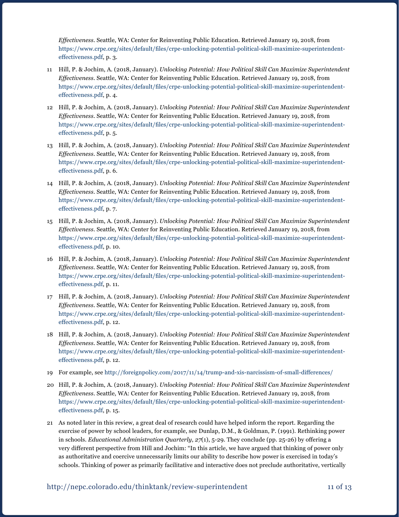*Effectiveness*. Seattle, WA: Center for Reinventing Public Education. Retrieved January 19, 2018, from [https://www.crpe.org/sites/default/files/crpe-unlocking-potential-political-skill-maximize-superintendent](https://www.crpe.org/sites/default/files/crpe-unlocking-potential-political-skill-maximize-superintendent-effectiveness.pdf)[effectiveness.pdf](https://www.crpe.org/sites/default/files/crpe-unlocking-potential-political-skill-maximize-superintendent-effectiveness.pdf), p. 3.

- 11 Hill, P. & Jochim, A. (2018, January). *Unlocking Potential: How Political Skill Can Maximize Superintendent Effectiveness*. Seattle, WA: Center for Reinventing Public Education. Retrieved January 19, 2018, from [https://www.crpe.org/sites/default/files/crpe-unlocking-potential-political-skill-maximize-superintendent](https://www.crpe.org/sites/default/files/crpe-unlocking-potential-political-skill-maximize-superintendent-effectiveness.pdf)[effectiveness.pdf](https://www.crpe.org/sites/default/files/crpe-unlocking-potential-political-skill-maximize-superintendent-effectiveness.pdf), p. 4.
- 12 Hill, P. & Jochim, A. (2018, January). *Unlocking Potential: How Political Skill Can Maximize Superintendent Effectiveness*. Seattle, WA: Center for Reinventing Public Education. Retrieved January 19, 2018, from [https://www.crpe.org/sites/default/files/crpe-unlocking-potential-political-skill-maximize-superintendent](https://www.crpe.org/sites/default/files/crpe-unlocking-potential-political-skill-maximize-superintendent-effectiveness.pdf)[effectiveness.pdf](https://www.crpe.org/sites/default/files/crpe-unlocking-potential-political-skill-maximize-superintendent-effectiveness.pdf), p. 5.
- 13 Hill, P. & Jochim, A. (2018, January). *Unlocking Potential: How Political Skill Can Maximize Superintendent Effectiveness*. Seattle, WA: Center for Reinventing Public Education. Retrieved January 19, 2018, from [https://www.crpe.org/sites/default/files/crpe-unlocking-potential-political-skill-maximize-superintendent](https://www.crpe.org/sites/default/files/crpe-unlocking-potential-political-skill-maximize-superintendent-effectiveness.pdf)[effectiveness.pdf](https://www.crpe.org/sites/default/files/crpe-unlocking-potential-political-skill-maximize-superintendent-effectiveness.pdf), p. 6.
- 14 Hill, P. & Jochim, A. (2018, January). *Unlocking Potential: How Political Skill Can Maximize Superintendent Effectiveness*. Seattle, WA: Center for Reinventing Public Education. Retrieved January 19, 2018, from [https://www.crpe.org/sites/default/files/crpe-unlocking-potential-political-skill-maximize-superintendent](https://www.crpe.org/sites/default/files/crpe-unlocking-potential-political-skill-maximize-superintendent-effectiveness.pdf)[effectiveness.pdf](https://www.crpe.org/sites/default/files/crpe-unlocking-potential-political-skill-maximize-superintendent-effectiveness.pdf), p. 7.
- 15 Hill, P. & Jochim, A. (2018, January). *Unlocking Potential: How Political Skill Can Maximize Superintendent Effectiveness*. Seattle, WA: Center for Reinventing Public Education. Retrieved January 19, 2018, from [https://www.crpe.org/sites/default/files/crpe-unlocking-potential-political-skill-maximize-superintendent](https://www.crpe.org/sites/default/files/crpe-unlocking-potential-political-skill-maximize-superintendent-effectiveness.pdf)[effectiveness.pdf](https://www.crpe.org/sites/default/files/crpe-unlocking-potential-political-skill-maximize-superintendent-effectiveness.pdf), p. 10.
- 16 Hill, P. & Jochim, A. (2018, January). *Unlocking Potential: How Political Skill Can Maximize Superintendent Effectiveness*. Seattle, WA: Center for Reinventing Public Education. Retrieved January 19, 2018, from [https://www.crpe.org/sites/default/files/crpe-unlocking-potential-political-skill-maximize-superintendent](https://www.crpe.org/sites/default/files/crpe-unlocking-potential-political-skill-maximize-superintendent-effectiveness.pdf)[effectiveness.pdf](https://www.crpe.org/sites/default/files/crpe-unlocking-potential-political-skill-maximize-superintendent-effectiveness.pdf), p. 11.
- 17 Hill, P. & Jochim, A. (2018, January). *Unlocking Potential: How Political Skill Can Maximize Superintendent Effectiveness*. Seattle, WA: Center for Reinventing Public Education. Retrieved January 19, 2018, from [https://www.crpe.org/sites/default/files/crpe-unlocking-potential-political-skill-maximize-superintendent](https://www.crpe.org/sites/default/files/crpe-unlocking-potential-political-skill-maximize-superintendent-effectiveness.pdf)[effectiveness.pdf](https://www.crpe.org/sites/default/files/crpe-unlocking-potential-political-skill-maximize-superintendent-effectiveness.pdf), p. 12.
- 18 Hill, P. & Jochim, A. (2018, January). *Unlocking Potential: How Political Skill Can Maximize Superintendent Effectiveness*. Seattle, WA: Center for Reinventing Public Education. Retrieved January 19, 2018, from [https://www.crpe.org/sites/default/files/crpe-unlocking-potential-political-skill-maximize-superintendent](https://www.crpe.org/sites/default/files/crpe-unlocking-potential-political-skill-maximize-superintendent-effectiveness.pdf)[effectiveness.pdf](https://www.crpe.org/sites/default/files/crpe-unlocking-potential-political-skill-maximize-superintendent-effectiveness.pdf), p. 12.
- 19 For example, see <http://foreignpolicy.com/2017/11/14/trump-and-xis-narcissism-of-small-differences/>
- 20 Hill, P. & Jochim, A. (2018, January). *Unlocking Potential: How Political Skill Can Maximize Superintendent Effectiveness*. Seattle, WA: Center for Reinventing Public Education. Retrieved January 19, 2018, from [https://www.crpe.org/sites/default/files/crpe-unlocking-potential-political-skill-maximize-superintendent](https://www.crpe.org/sites/default/files/crpe-unlocking-potential-political-skill-maximize-superintendent-effectiveness.pdf)[effectiveness.pdf](https://www.crpe.org/sites/default/files/crpe-unlocking-potential-political-skill-maximize-superintendent-effectiveness.pdf), p. 15.
- 21 As noted later in this review, a great deal of research could have helped inform the report. Regarding the exercise of power by school leaders, for example, see Dunlap, D.M., & Goldman, P. (1991). Rethinking power in schools. *Educational Administration Quarterly*, *27*(1), 5-29. They conclude (pp. 25-26) by offering a very different perspective from Hill and Jochim: "In this article, we have argued that thinking of power only as authoritative and coercive unnecessarily limits our ability to describe how power is exercised in today's schools. Thinking of power as primarily facilitative and interactive does not preclude authoritative, vertically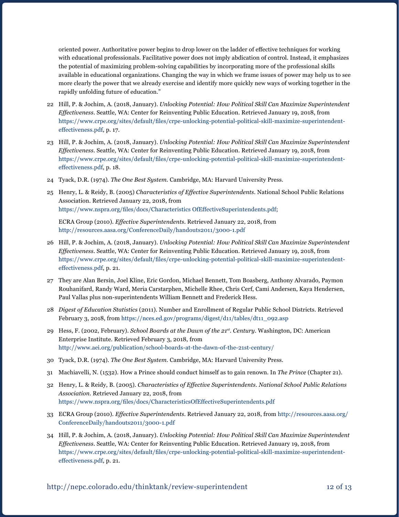oriented power. Authoritative power begins to drop lower on the ladder of effective techniques for working with educational professionals. Facilitative power does not imply abdication of control. Instead, it emphasizes the potential of maximizing problem-solving capabilities by incorporating more of the professional skills available in educational organizations. Changing the way in which we frame issues of power may help us to see more clearly the power that we already exercise and identify more quickly new ways of working together in the rapidly unfolding future of education."

- 22 Hill, P. & Jochim, A. (2018, January). *Unlocking Potential: How Political Skill Can Maximize Superintendent Effectiveness*. Seattle, WA: Center for Reinventing Public Education. Retrieved January 19, 2018, from [https://www.crpe.org/sites/default/files/crpe-unlocking-potential-political-skill-maximize-superintendent](https://www.crpe.org/sites/default/files/crpe-unlocking-potential-political-skill-maximize-superintendent-effectiveness.pdf)[effectiveness.pdf](https://www.crpe.org/sites/default/files/crpe-unlocking-potential-political-skill-maximize-superintendent-effectiveness.pdf), p. 17.
- 23 Hill, P. & Jochim, A. (2018, January). *Unlocking Potential: How Political Skill Can Maximize Superintendent Effectiveness*. Seattle, WA: Center for Reinventing Public Education. Retrieved January 19, 2018, from [https://www.crpe.org/sites/default/files/crpe-unlocking-potential-political-skill-maximize-superintendent](https://www.crpe.org/sites/default/files/crpe-unlocking-potential-political-skill-maximize-superintendent-effectiveness.pdf)[effectiveness.pdf](https://www.crpe.org/sites/default/files/crpe-unlocking-potential-political-skill-maximize-superintendent-effectiveness.pdf), p. 18.
- 24 Tyack, D.R. (1974). *The One Best System.* Cambridge, MA: Harvard University Press.
- 25 Henry, L. & Reidy, B. (2005) *Characteristics of Effective Superintendents*. National School Public Relations Association. Retrieved January 22, 2018, from <https://www.nspra.org/files/docs/Characteristics OfEffectiveSuperintendents.pdf>;

ECRA Group (2010). *Effective Superintendents*. Retrieved January 22, 2018, from <http://resources.aasa.org/ConferenceDaily/handouts2011/3000-1.pdf>

- 26 Hill, P. & Jochim, A. (2018, January). *Unlocking Potential: How Political Skill Can Maximize Superintendent Effectiveness*. Seattle, WA: Center for Reinventing Public Education. Retrieved January 19, 2018, from [https://www.crpe.org/sites/default/files/crpe-unlocking-potential-political-skill-maximize-superintendent](https://www.crpe.org/sites/default/files/crpe-unlocking-potential-political-skill-maximize-superintendent-effectiveness.pdf)[effectiveness.pdf](https://www.crpe.org/sites/default/files/crpe-unlocking-potential-political-skill-maximize-superintendent-effectiveness.pdf), p. 21.
- 27 They are Alan Bersin, Joel Kline, Eric Gordon, Michael Bennett, Tom Boasberg, Anthony Alvarado, Paymon Rouhanifard, Randy Ward, Meria Carstarphen, Michelle Rhee, Chris Cerf, Cami Andersen, Kaya Hendersen, Paul Vallas plus non-superintendents William Bennett and Frederick Hess.
- 28 *Digest of Education Statistics* (2011). Number and Enrollment of Regular Public School Districts. Retrieved February 3, 2018, from [https://nces.ed.gov/programs/digest/d11/tables/dt11\\_092.asp](https://nces.ed.gov/programs/digest/d11/tables/dt11_092.asp)
- 29 Hess, F. (2002, February). *School Boards at the Dawn of the 21st. Century*. Washington, DC: American Enterprise Institute. Retrieved February 3, 2018, from <http://www.aei.org/publication/school-boards-at-the-dawn-of-the-21st-century/>
- 30 Tyack, D.R. (1974). *The One Best System*. Cambridge, MA: Harvard University Press.
- 31 Machiavelli, N. (1532). How a Prince should conduct himself as to gain renown. In *The Prince* (Chapter 21).
- 32 Henry, L. & Reidy, B. (2005). *Characteristics of Effective Superintendents. National School Public Relations Association.* Retrieved January 22, 2018, from [https://www.nspra.org/files/docs/CharacteristicsOfEffectiveSuperintendents.pdf](https://www.nspra.org/files/docs/CharacteristicsOfEffectiveSuperintendents.pdf )
- 33 ECRA Group (2010). *Effective Superintendents*. Retrieved January 22, 2018, from [http://resources.aasa.org/](http://resources.aasa.org/ConferenceDaily/handouts2011/3000-1.pdf ) [ConferenceDaily/handouts2011/3000-1.pdf](http://resources.aasa.org/ConferenceDaily/handouts2011/3000-1.pdf )
- 34 Hill, P. & Jochim, A. (2018, January). *Unlocking Potential: How Political Skill Can Maximize Superintendent Effectiveness*. Seattle, WA: Center for Reinventing Public Education. Retrieved January 19, 2018, from [https://www.crpe.org/sites/default/files/crpe-unlocking-potential-political-skill-maximize-superintendent](https://www.crpe.org/sites/default/files/crpe-unlocking-potential-political-skill-maximize-superintendent-effectiveness.pdf)[effectiveness.pdf](https://www.crpe.org/sites/default/files/crpe-unlocking-potential-political-skill-maximize-superintendent-effectiveness.pdf), p. 21.